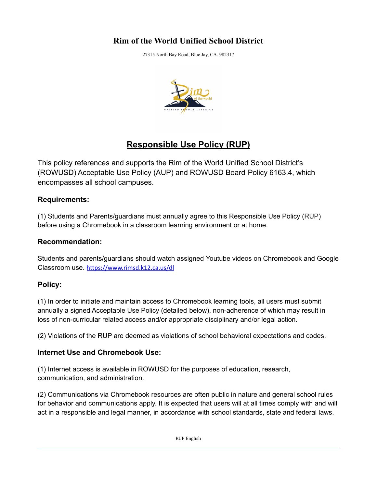## **Rim of the World Unified School District**

27315 North Bay Road, Blue Jay, CA. 982317



# **Responsible Use Policy (RUP)**

This policy references and supports the Rim of the World Unified School District's (ROWUSD) Acceptable Use Policy (AUP) and ROWUSD Board Policy 6163.4, which encompasses all school campuses.

### **Requirements:**

(1) Students and Parents/guardians must annually agree to this Responsible Use Policy (RUP) before using a Chromebook in a classroom learning environment or at home.

### **Recommendation:**

Students and parents/guardians should watch assigned Youtube videos on Chromebook and Google Classroom use. <https://www.rimsd.k12.ca.us/dl>

### **Policy:**

(1) In order to initiate and maintain access to Chromebook learning tools, all users must submit annually a signed Acceptable Use Policy (detailed below), non-adherence of which may result in loss of non-curricular related access and/or appropriate disciplinary and/or legal action.

(2) Violations of the RUP are deemed as violations of school behavioral expectations and codes.

### **Internet Use and Chromebook Use:**

(1) Internet access is available in ROWUSD for the purposes of education, research, communication, and administration.

(2) Communications via Chromebook resources are often public in nature and general school rules for behavior and communications apply. It is expected that users will at all times comply with and will act in a responsible and legal manner, in accordance with school standards, state and federal laws.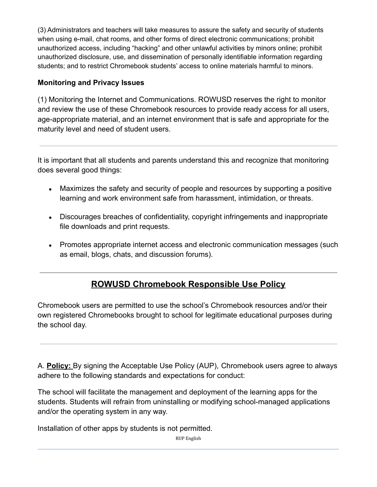(3) Administrators and teachers will take measures to assure the safety and security of students when using e-mail, chat rooms, and other forms of direct electronic communications; prohibit unauthorized access, including "hacking" and other unlawful activities by minors online; prohibit unauthorized disclosure, use, and dissemination of personally identifiable information regarding students; and to restrict Chromebook students' access to online materials harmful to minors.

## **Monitoring and Privacy Issues**

(1) Monitoring the Internet and Communications. ROWUSD reserves the right to monitor and review the use of these Chromebook resources to provide ready access for all users, age-appropriate material, and an internet environment that is safe and appropriate for the maturity level and need of student users.

It is important that all students and parents understand this and recognize that monitoring does several good things:

- Maximizes the safety and security of people and resources by supporting a positive learning and work environment safe from harassment, intimidation, or threats.
- Discourages breaches of confidentiality, copyright infringements and inappropriate file downloads and print requests.
- Promotes appropriate internet access and electronic communication messages (such as email, blogs, chats, and discussion forums).

## **ROWUSD Chromebook Responsible Use Policy**

Chromebook users are permitted to use the school's Chromebook resources and/or their own registered Chromebooks brought to school for legitimate educational purposes during the school day.

A. **Policy:** By signing the Acceptable Use Policy (AUP), Chromebook users agree to always adhere to the following standards and expectations for conduct:

The school will facilitate the management and deployment of the learning apps for the students. Students will refrain from uninstalling or modifying school-managed applications and/or the operating system in any way.

Installation of other apps by students is not permitted.

RUP English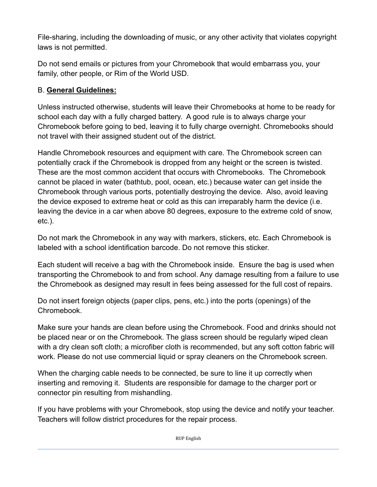File-sharing, including the downloading of music, or any other activity that violates copyright laws is not permitted.

Do not send emails or pictures from your Chromebook that would embarrass you, your family, other people, or Rim of the World USD.

## B. **General Guidelines:**

Unless instructed otherwise, students will leave their Chromebooks at home to be ready for school each day with a fully charged battery. A good rule is to always charge your Chromebook before going to bed, leaving it to fully charge overnight. Chromebooks should not travel with their assigned student out of the district.

Handle Chromebook resources and equipment with care. The Chromebook screen can potentially crack if the Chromebook is dropped from any height or the screen is twisted. These are the most common accident that occurs with Chromebooks. The Chromebook cannot be placed in water (bathtub, pool, ocean, etc.) because water can get inside the Chromebook through various ports, potentially destroying the device. Also, avoid leaving the device exposed to extreme heat or cold as this can irreparably harm the device (i.e. leaving the device in a car when above 80 degrees, exposure to the extreme cold of snow, etc.).

Do not mark the Chromebook in any way with markers, stickers, etc. Each Chromebook is labeled with a school identification barcode. Do not remove this sticker.

Each student will receive a bag with the Chromebook inside. Ensure the bag is used when transporting the Chromebook to and from school. Any damage resulting from a failure to use the Chromebook as designed may result in fees being assessed for the full cost of repairs.

Do not insert foreign objects (paper clips, pens, etc.) into the ports (openings) of the Chromebook.

Make sure your hands are clean before using the Chromebook. Food and drinks should not be placed near or on the Chromebook. The glass screen should be regularly wiped clean with a dry clean soft cloth; a microfiber cloth is recommended, but any soft cotton fabric will work. Please do not use commercial liquid or spray cleaners on the Chromebook screen.

When the charging cable needs to be connected, be sure to line it up correctly when inserting and removing it. Students are responsible for damage to the charger port or connector pin resulting from mishandling.

If you have problems with your Chromebook, stop using the device and notify your teacher. Teachers will follow district procedures for the repair process.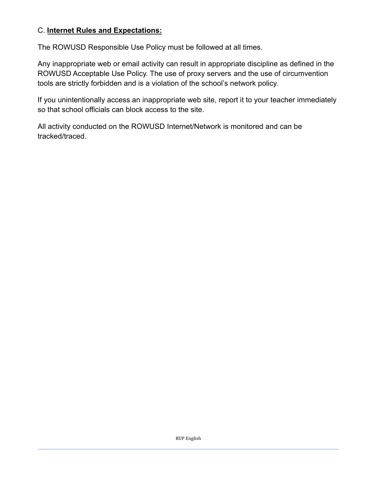### C. **Internet Rules and Expectations:**

The ROWUSD Responsible Use Policy must be followed at all times.

Any inappropriate web or email activity can result in appropriate discipline as defined in the ROWUSD Acceptable Use Policy. The use of proxy servers and the use of circumvention tools are strictly forbidden and is a violation of the school's network policy.

If you unintentionally access an inappropriate web site, report it to your teacher immediately so that school officials can block access to the site.

All activity conducted on the ROWUSD Internet/Network is monitored and can be tracked/traced.